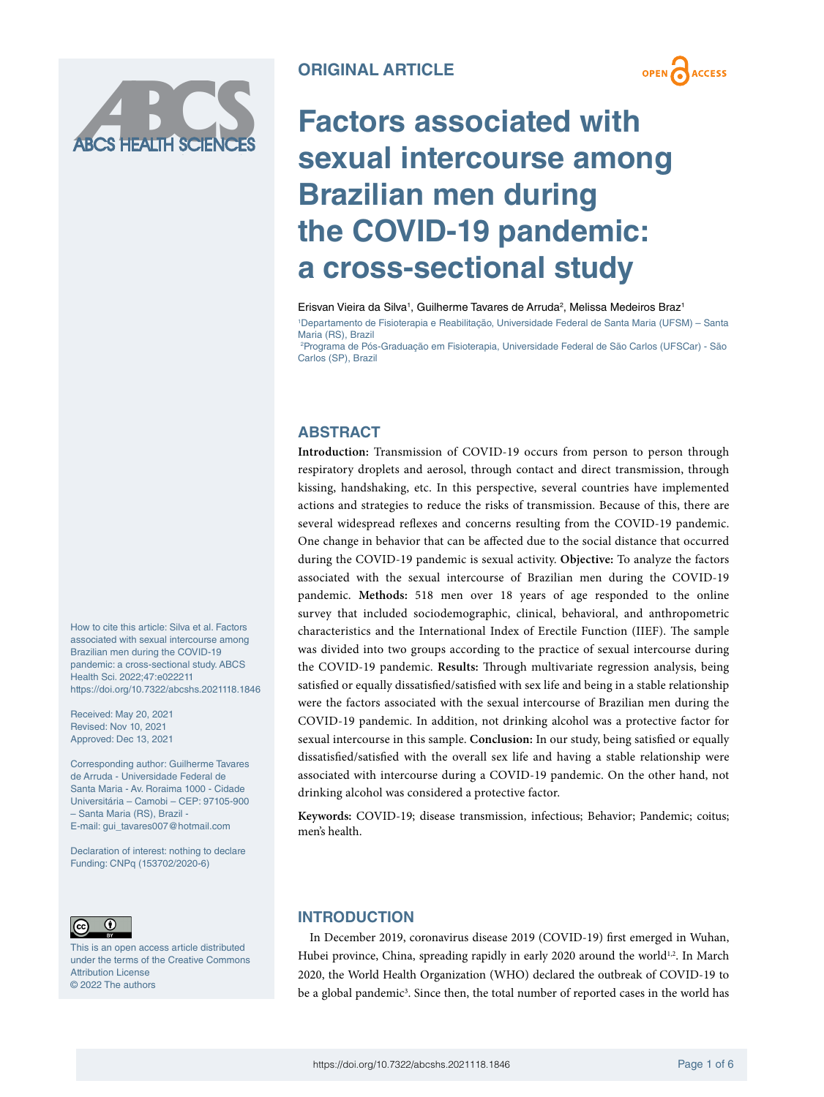

**OPEN ACCESS** 

# **Factors associated with sexual intercourse among Brazilian men during the COVID-19 pandemic: a cross-sectional study**

Erisvan Vieira da Silva<sup>1</sup>, Guilherme Tavares de Arruda<sup>2</sup>, Melissa Medeiros Braz<sup>1</sup>

1 Departamento de Fisioterapia e Reabilitação, Universidade Federal de Santa Maria (UFSM) – Santa Maria (RS), Brazil

2 Programa de Pós-Graduação em Fisioterapia, Universidade Federal de São Carlos (UFSCar) - São Carlos (SP), Brazil

# **ABSTRACT**

**Introduction:** Transmission of COVID-19 occurs from person to person through respiratory droplets and aerosol, through contact and direct transmission, through kissing, handshaking, etc. In this perspective, several countries have implemented actions and strategies to reduce the risks of transmission. Because of this, there are several widespread reflexes and concerns resulting from the COVID-19 pandemic. One change in behavior that can be affected due to the social distance that occurred during the COVID-19 pandemic is sexual activity. **Objective:** To analyze the factors associated with the sexual intercourse of Brazilian men during the COVID-19 pandemic. **Methods:** 518 men over 18 years of age responded to the online survey that included sociodemographic, clinical, behavioral, and anthropometric characteristics and the International Index of Erectile Function (IIEF). The sample was divided into two groups according to the practice of sexual intercourse during the COVID-19 pandemic. **Results:** Through multivariate regression analysis, being satisfied or equally dissatisfied/satisfied with sex life and being in a stable relationship were the factors associated with the sexual intercourse of Brazilian men during the COVID-19 pandemic. In addition, not drinking alcohol was a protective factor for sexual intercourse in this sample. **Conclusion:** In our study, being satisfied or equally dissatisfied/satisfied with the overall sex life and having a stable relationship were associated with intercourse during a COVID-19 pandemic. On the other hand, not drinking alcohol was considered a protective factor.

**Keywords:** COVID-19; disease transmission, infectious; Behavior; Pandemic; coitus; men's health.

 $\odot$  $\left($ 

This is an open access article distributed under the terms of the Creative Commons Attribution License © 2022 The authors

How to cite this article: Silva et al. Factors associated with sexual intercourse among Brazilian men during the COVID-19 pandemic: a cross-sectional study. ABCS

<https://doi.org/10.7322/abcshs.2021118.1846>

Corresponding author: Guilherme Tavares de Arruda - Universidade Federal de Santa Maria - Av. Roraima 1000 - Cidade Universitária – Camobi – CEP: 97105-900

Health Sci. 2022;47:e022211

Received: May 20, 2021 Revised: Nov 10, 2021 Approved: Dec 13, 2021

– Santa Maria (RS), Brazil - E-mail: [gui\\_tavares007@hotmail.com](mailto:gui_tavares007@hotmail.com) Declaration of interest: nothing to declare Funding: CNPq (153702/2020-6)

# **INTRODUCTION**

In December 2019, coronavirus disease 2019 (COVID-19) first emerged in Wuhan, Hubei province, China, spreading rapidly in early 2020 around the world<sup>1,2</sup>. In March 2020, the World Health Organization (WHO) declared the outbreak of COVID-19 to be a global pandemic<sup>3</sup>. Since then, the total number of reported cases in the world has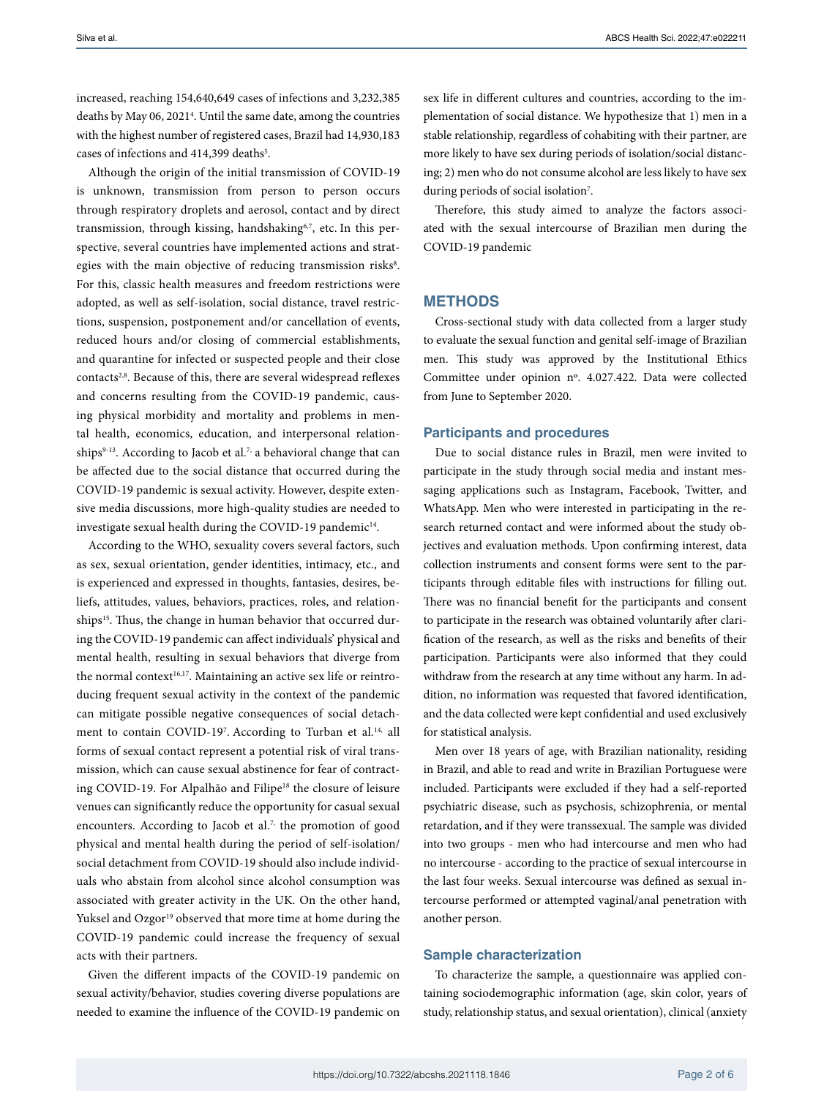increased, reaching 154,640,649 cases of infections and 3,232,385 deaths by May 06, 20214 . Until the same date, among the countries with the highest number of registered cases, Brazil had 14,930,183 cases of infections and 414,399 deaths<sup>5</sup>.

Although the origin of the initial transmission of COVID-19 is unknown, transmission from person to person occurs through respiratory droplets and aerosol, contact and by direct transmission, through kissing, handshaking<sup>6,7</sup>, etc. In this perspective, several countries have implemented actions and strategies with the main objective of reducing transmission risks<sup>8</sup>. For this, classic health measures and freedom restrictions were adopted, as well as self-isolation, social distance, travel restrictions, suspension, postponement and/or cancellation of events, reduced hours and/or closing of commercial establishments, and quarantine for infected or suspected people and their close contacts<sup>2,8</sup>. Because of this, there are several widespread reflexes and concerns resulting from the COVID-19 pandemic, causing physical morbidity and mortality and problems in mental health, economics, education, and interpersonal relationships $9-13$ . According to Jacob et al.<sup>7,</sup> a behavioral change that can be affected due to the social distance that occurred during the COVID-19 pandemic is sexual activity. However, despite extensive media discussions, more high-quality studies are needed to investigate sexual health during the COVID-19 pandemic<sup>14</sup>.

According to the WHO, sexuality covers several factors, such as sex, sexual orientation, gender identities, intimacy, etc., and is experienced and expressed in thoughts, fantasies, desires, beliefs, attitudes, values, behaviors, practices, roles, and relationships<sup>15</sup>. Thus, the change in human behavior that occurred during the COVID-19 pandemic can affect individuals' physical and mental health, resulting in sexual behaviors that diverge from the normal context<sup>16,17</sup>. Maintaining an active sex life or reintroducing frequent sexual activity in the context of the pandemic can mitigate possible negative consequences of social detachment to contain COVID-197. According to Turban et al.<sup>14,</sup> all forms of sexual contact represent a potential risk of viral transmission, which can cause sexual abstinence for fear of contracting COVID-19. For Alpalhão and Filipe<sup>18</sup> the closure of leisure venues can significantly reduce the opportunity for casual sexual encounters. According to Jacob et al.<sup>7,</sup> the promotion of good physical and mental health during the period of self-isolation/ social detachment from COVID-19 should also include individuals who abstain from alcohol since alcohol consumption was associated with greater activity in the UK. On the other hand, Yuksel and Ozgor<sup>19</sup> observed that more time at home during the COVID-19 pandemic could increase the frequency of sexual acts with their partners.

Given the different impacts of the COVID-19 pandemic on sexual activity/behavior, studies covering diverse populations are needed to examine the influence of the COVID-19 pandemic on

sex life in different cultures and countries, according to the implementation of social distance. We hypothesize that 1) men in a stable relationship, regardless of cohabiting with their partner, are more likely to have sex during periods of isolation/social distancing; 2) men who do not consume alcohol are less likely to have sex during periods of social isolation<sup>7</sup>.

Therefore, this study aimed to analyze the factors associated with the sexual intercourse of Brazilian men during the COVID-19 pandemic

## **METHODS**

Cross-sectional study with data collected from a larger study to evaluate the sexual function and genital self-image of Brazilian men. This study was approved by the Institutional Ethics Committee under opinion nº. 4.027.422. Data were collected from June to September 2020.

#### **Participants and procedures**

Due to social distance rules in Brazil, men were invited to participate in the study through social media and instant messaging applications such as Instagram, Facebook, Twitter, and WhatsApp. Men who were interested in participating in the research returned contact and were informed about the study objectives and evaluation methods. Upon confirming interest, data collection instruments and consent forms were sent to the participants through editable files with instructions for filling out. There was no financial benefit for the participants and consent to participate in the research was obtained voluntarily after clarification of the research, as well as the risks and benefits of their participation. Participants were also informed that they could withdraw from the research at any time without any harm. In addition, no information was requested that favored identification, and the data collected were kept confidential and used exclusively for statistical analysis.

Men over 18 years of age, with Brazilian nationality, residing in Brazil, and able to read and write in Brazilian Portuguese were included. Participants were excluded if they had a self-reported psychiatric disease, such as psychosis, schizophrenia, or mental retardation, and if they were transsexual. The sample was divided into two groups - men who had intercourse and men who had no intercourse - according to the practice of sexual intercourse in the last four weeks. Sexual intercourse was defined as sexual intercourse performed or attempted vaginal/anal penetration with another person.

## **Sample characterization**

To characterize the sample, a questionnaire was applied containing sociodemographic information (age, skin color, years of study, relationship status, and sexual orientation), clinical (anxiety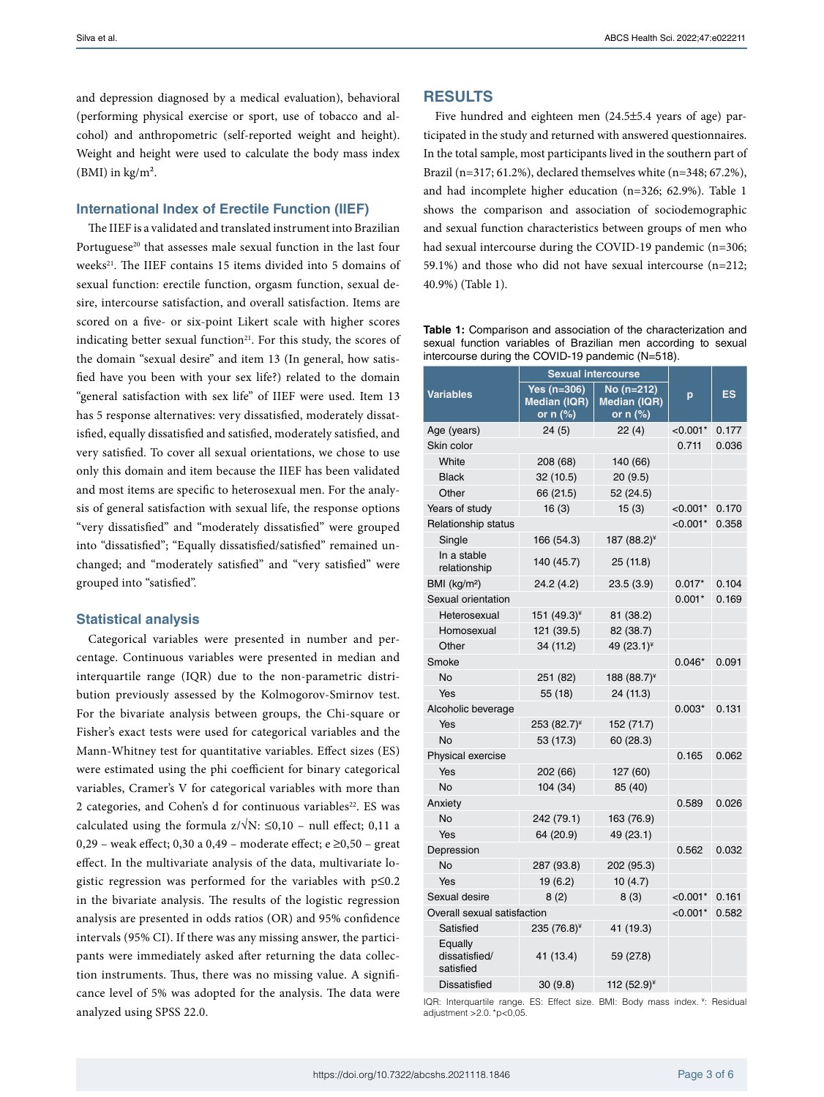and depression diagnosed by a medical evaluation), behavioral (performing physical exercise or sport, use of tobacco and alcohol) and anthropometric (self-reported weight and height). Weight and height were used to calculate the body mass index (BMI) in  $\text{kg/m}^2$ .

## **International Index of Erectile Function (IIEF)**

The IIEF is a validated and translated instrument into Brazilian Portuguese<sup>20</sup> that assesses male sexual function in the last four weeks<sup>21</sup>. The IIEF contains 15 items divided into 5 domains of sexual function: erectile function, orgasm function, sexual desire, intercourse satisfaction, and overall satisfaction. Items are scored on a five- or six-point Likert scale with higher scores indicating better sexual function $21$ . For this study, the scores of the domain "sexual desire" and item 13 (In general, how satisfied have you been with your sex life?) related to the domain "general satisfaction with sex life" of IIEF were used. Item 13 has 5 response alternatives: very dissatisfied, moderately dissatisfied, equally dissatisfied and satisfied, moderately satisfied, and very satisfied. To cover all sexual orientations, we chose to use only this domain and item because the IIEF has been validated and most items are specific to heterosexual men. For the analysis of general satisfaction with sexual life, the response options "very dissatisfied" and "moderately dissatisfied" were grouped into "dissatisfied"; "Equally dissatisfied/satisfied" remained unchanged; and "moderately satisfied" and "very satisfied" were grouped into "satisfied".

#### **Statistical analysis**

Categorical variables were presented in number and percentage. Continuous variables were presented in median and interquartile range (IQR) due to the non-parametric distribution previously assessed by the Kolmogorov-Smirnov test. For the bivariate analysis between groups, the Chi-square or Fisher's exact tests were used for categorical variables and the Mann-Whitney test for quantitative variables. Effect sizes (ES) were estimated using the phi coefficient for binary categorical variables, Cramer's V for categorical variables with more than 2 categories, and Cohen's d for continuous variables<sup>22</sup>. ES was calculated using the formula  $z/\sqrt{N}$ :  $\leq 0,10$  – null effect; 0,11 a 0,29 – weak effect; 0,30 a 0,49 – moderate effect; e  $\geq$ 0,50 – great effect. In the multivariate analysis of the data, multivariate logistic regression was performed for the variables with  $p \le 0.2$ in the bivariate analysis. The results of the logistic regression analysis are presented in odds ratios (OR) and 95% confidence intervals (95% CI). If there was any missing answer, the participants were immediately asked after returning the data collection instruments. Thus, there was no missing value. A significance level of 5% was adopted for the analysis. The data were analyzed using SPSS 22.0.

# **RESULTS**

Five hundred and eighteen men (24.5±5.4 years of age) participated in the study and returned with answered questionnaires. In the total sample, most participants lived in the southern part of Brazil (n=317; 61.2%), declared themselves white (n=348; 67.2%), and had incomplete higher education (n=326; 62.9%). Table 1 shows the comparison and association of sociodemographic and sexual function characteristics between groups of men who had sexual intercourse during the COVID-19 pandemic (n=306; 59.1%) and those who did not have sexual intercourse (n=212; 40.9%) (Table 1).

**Table 1:** Comparison and association of the characterization and sexual function variables of Brazilian men according to sexual intercourse during the COVID-19 pandemic (N=518).

|                                       | <b>Sexual intercourse</b>                          |                                        |            |           |
|---------------------------------------|----------------------------------------------------|----------------------------------------|------------|-----------|
| <b>Variables</b>                      | Yes $(n=306)$<br><b>Median (IQR)</b><br>or $n$ (%) | No (n=212)<br>Median (IQR)<br>or n (%) | p          | <b>ES</b> |
| Age (years)                           | 24(5)                                              | 22(4)                                  | $< 0.001*$ | 0.177     |
| Skin color                            |                                                    |                                        | 0.711      | 0.036     |
| White                                 | 208 (68)                                           | 140 (66)                               |            |           |
| <b>Black</b>                          | 32 (10.5)                                          | 20(9.5)                                |            |           |
| Other                                 | 66 (21.5)                                          | 52 (24.5)                              |            |           |
| Years of study                        | 16(3)                                              | 15(3)                                  | $< 0.001*$ | 0.170     |
| Relationship status                   |                                                    |                                        | $< 0.001*$ | 0.358     |
| Single                                | 166 (54.3)                                         | 187 (88.2)*                            |            |           |
| In a stable<br>relationship           | 140 (45.7)                                         | 25 (11.8)                              |            |           |
| BMI (kg/m <sup>2</sup> )              | 24.2(4.2)                                          | 23.5 (3.9)                             | $0.017*$   | 0.104     |
| Sexual orientation                    |                                                    |                                        | $0.001*$   | 0.169     |
| Heterosexual                          | 151 $(49.3)^{*}$                                   | 81 (38.2)                              |            |           |
| Homosexual                            | 121 (39.5)                                         | 82 (38.7)                              |            |           |
| Other                                 | 34 (11.2)                                          | 49 (23.1)*                             |            |           |
| Smoke                                 |                                                    |                                        | $0.046*$   | 0.091     |
| No                                    | 251 (82)                                           | 188 (88.7)*                            |            |           |
| Yes                                   | 55 (18)                                            | 24 (11.3)                              |            |           |
| Alcoholic beverage                    |                                                    | $0.003*$                               | 0.131      |           |
| Yes                                   | 253 (82.7)*                                        | 152 (71.7)                             |            |           |
| No                                    | 53 (17.3)                                          | 60 (28.3)                              |            |           |
| Physical exercise                     |                                                    |                                        | 0.165      | 0.062     |
| Yes                                   | 202 (66)                                           | 127 (60)                               |            |           |
| No                                    | 104(34)                                            | 85 (40)                                |            |           |
| Anxiety                               |                                                    |                                        | 0.589      | 0.026     |
| No                                    | 242 (79.1)                                         | 163 (76.9)                             |            |           |
| Yes                                   | 64 (20.9)                                          | 49 (23.1)                              |            |           |
| Depression                            |                                                    |                                        | 0.562      | 0.032     |
| No                                    | 287 (93.8)                                         | 202 (95.3)                             |            |           |
| Yes                                   | 19 (6.2)                                           | 10(4.7)                                |            |           |
| Sexual desire                         | 8(2)                                               | 8(3)                                   | $< 0.001*$ | 0.161     |
| Overall sexual satisfaction           |                                                    | $< 0.001*$                             | 0.582      |           |
| Satisfied                             | 235 (76.8) <sup>¥</sup>                            | 41 (19.3)                              |            |           |
| Equally<br>dissatisfied/<br>satisfied | 41 (13.4)                                          | 59 (27.8)                              |            |           |
| <b>Dissatisfied</b>                   | 30(9.8)                                            | 112 (52.9)*                            |            |           |

IQR: Interquartile range. ES: Effect size. BMI: Body mass index. ¥: Residual adjustment >2.0.\*p<0,05.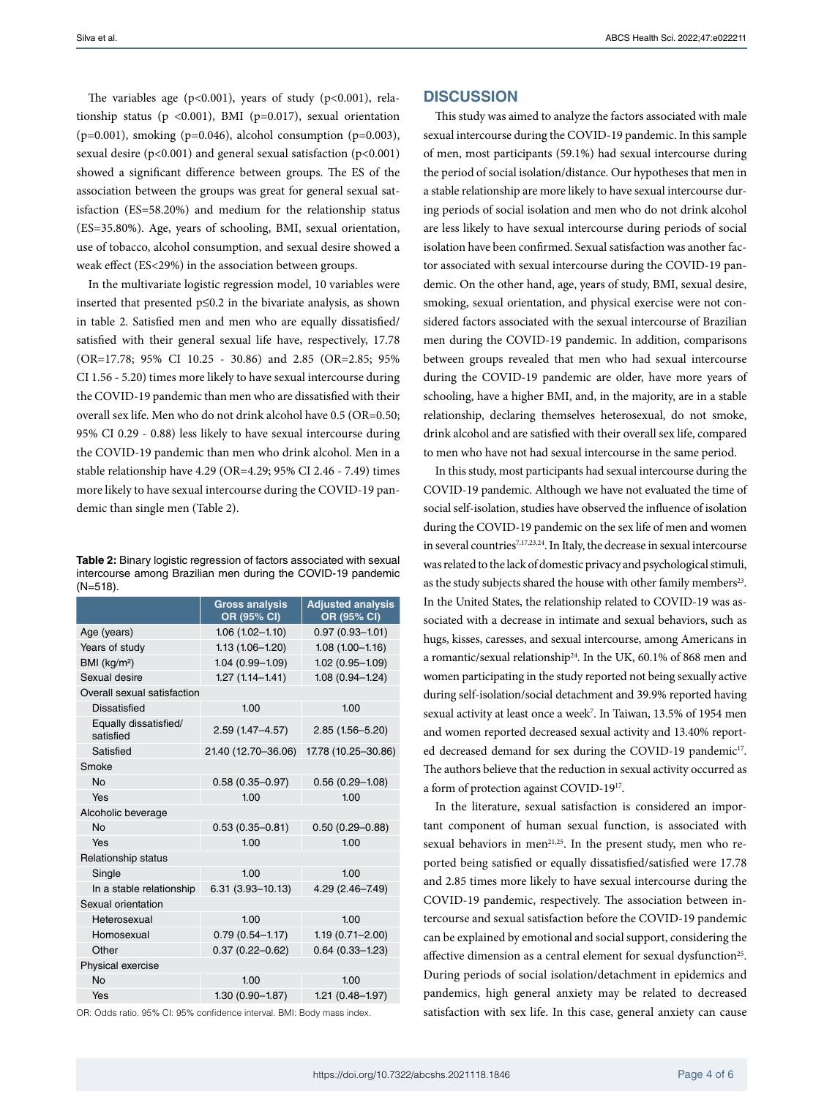The variables age ( $p<0.001$ ), years of study ( $p<0.001$ ), relationship status ( $p \le 0.001$ ), BMI ( $p=0.017$ ), sexual orientation  $(p=0.001)$ , smoking (p=0.046), alcohol consumption (p=0.003), sexual desire (p<0.001) and general sexual satisfaction (p<0.001) showed a significant difference between groups. The ES of the association between the groups was great for general sexual satisfaction (ES=58.20%) and medium for the relationship status (ES=35.80%). Age, years of schooling, BMI, sexual orientation, use of tobacco, alcohol consumption, and sexual desire showed a weak effect (ES<29%) in the association between groups.

In the multivariate logistic regression model, 10 variables were inserted that presented p≤0.2 in the bivariate analysis, as shown in table 2. Satisfied men and men who are equally dissatisfied/ satisfied with their general sexual life have, respectively, 17.78 (OR=17.78; 95% CI 10.25 - 30.86) and 2.85 (OR=2.85; 95% CI 1.56 - 5.20) times more likely to have sexual intercourse during the COVID-19 pandemic than men who are dissatisfied with their overall sex life. Men who do not drink alcohol have 0.5 (OR=0.50; 95% CI 0.29 - 0.88) less likely to have sexual intercourse during the COVID-19 pandemic than men who drink alcohol. Men in a stable relationship have 4.29 (OR=4.29; 95% CI 2.46 - 7.49) times more likely to have sexual intercourse during the COVID-19 pandemic than single men (Table 2).

**Table 2:** Binary logistic regression of factors associated with sexual intercourse among Brazilian men during the COVID-19 pandemic (N=518).

|                                    | <b>Gross analysis</b><br>OR (95% CI) | <b>Adjusted analysis</b><br>OR (95% CI) |  |  |  |
|------------------------------------|--------------------------------------|-----------------------------------------|--|--|--|
| Age (years)                        | $1.06(1.02 - 1.10)$                  | $0.97(0.93 - 1.01)$                     |  |  |  |
| Years of study                     | $1.13(1.06 - 1.20)$                  | $1.08(1.00 - 1.16)$                     |  |  |  |
| BMI (kg/m <sup>2</sup> )           | $1.04(0.99 - 1.09)$                  | 1.02 (0.95-1.09)                        |  |  |  |
| Sexual desire                      | $1.27(1.14 - 1.41)$                  | $1.08(0.94 - 1.24)$                     |  |  |  |
| Overall sexual satisfaction        |                                      |                                         |  |  |  |
| <b>Dissatisfied</b>                | 1.00                                 | 1.00                                    |  |  |  |
| Equally dissatisfied/<br>satisfied | $2.59(1.47 - 4.57)$                  | $2.85(1.56 - 5.20)$                     |  |  |  |
| Satisfied                          | 21.40 (12.70-36.06)                  | 17.78 (10.25-30.86)                     |  |  |  |
| Smoke                              |                                      |                                         |  |  |  |
| No                                 | $0.58(0.35 - 0.97)$                  | $0.56(0.29 - 1.08)$                     |  |  |  |
| Yes                                | 1.00                                 | 1.00                                    |  |  |  |
| Alcoholic beverage                 |                                      |                                         |  |  |  |
| No                                 | $0.53(0.35 - 0.81)$                  | $0.50(0.29 - 0.88)$                     |  |  |  |
| Yes                                | 1.00                                 | 1.00                                    |  |  |  |
| Relationship status                |                                      |                                         |  |  |  |
| Single                             | 1.00                                 | 1.00                                    |  |  |  |
| In a stable relationship           | $6.31(3.93 - 10.13)$                 | 4.29 (2.46-7.49)                        |  |  |  |
| Sexual orientation                 |                                      |                                         |  |  |  |
| Heterosexual                       | 1.00                                 | 1.00                                    |  |  |  |
| Homosexual                         | $0.79(0.54 - 1.17)$                  | $1.19(0.71 - 2.00)$                     |  |  |  |
| Other                              | $0.37(0.22 - 0.62)$                  | $0.64(0.33 - 1.23)$                     |  |  |  |
| Physical exercise                  |                                      |                                         |  |  |  |
| No                                 | 1.00                                 | 1.00                                    |  |  |  |
| Yes                                | $1.30(0.90 - 1.87)$                  | $1.21(0.48 - 1.97)$                     |  |  |  |
|                                    |                                      |                                         |  |  |  |

OR: Odds ratio. 95% CI: 95% confidence interval. BMI: Body mass index.

## **DISCUSSION**

This study was aimed to analyze the factors associated with male sexual intercourse during the COVID-19 pandemic. In this sample of men, most participants (59.1%) had sexual intercourse during the period of social isolation/distance. Our hypotheses that men in a stable relationship are more likely to have sexual intercourse during periods of social isolation and men who do not drink alcohol are less likely to have sexual intercourse during periods of social isolation have been confirmed. Sexual satisfaction was another factor associated with sexual intercourse during the COVID-19 pandemic. On the other hand, age, years of study, BMI, sexual desire, smoking, sexual orientation, and physical exercise were not considered factors associated with the sexual intercourse of Brazilian men during the COVID-19 pandemic. In addition, comparisons between groups revealed that men who had sexual intercourse during the COVID-19 pandemic are older, have more years of schooling, have a higher BMI, and, in the majority, are in a stable relationship, declaring themselves heterosexual, do not smoke, drink alcohol and are satisfied with their overall sex life, compared to men who have not had sexual intercourse in the same period.

In this study, most participants had sexual intercourse during the COVID-19 pandemic. Although we have not evaluated the time of social self-isolation, studies have observed the influence of isolation during the COVID-19 pandemic on the sex life of men and women in several countries<sup>7,17,23,24</sup>. In Italy, the decrease in sexual intercourse was related to the lack of domestic privacy and psychological stimuli, as the study subjects shared the house with other family members<sup>23</sup>. In the United States, the relationship related to COVID-19 was associated with a decrease in intimate and sexual behaviors, such as hugs, kisses, caresses, and sexual intercourse, among Americans in a romantic/sexual relationship24. In the UK, 60.1% of 868 men and women participating in the study reported not being sexually active during self-isolation/social detachment and 39.9% reported having sexual activity at least once a week<sup>7</sup>. In Taiwan, 13.5% of 1954 men and women reported decreased sexual activity and 13.40% reported decreased demand for sex during the COVID-19 pandemic<sup>17</sup>. The authors believe that the reduction in sexual activity occurred as a form of protection against COVID-1917.

In the literature, sexual satisfaction is considered an important component of human sexual function, is associated with sexual behaviors in men<sup>21,25</sup>. In the present study, men who reported being satisfied or equally dissatisfied/satisfied were 17.78 and 2.85 times more likely to have sexual intercourse during the COVID-19 pandemic, respectively. The association between intercourse and sexual satisfaction before the COVID-19 pandemic can be explained by emotional and social support, considering the affective dimension as a central element for sexual dysfunction<sup>25</sup>. During periods of social isolation/detachment in epidemics and pandemics, high general anxiety may be related to decreased satisfaction with sex life. In this case, general anxiety can cause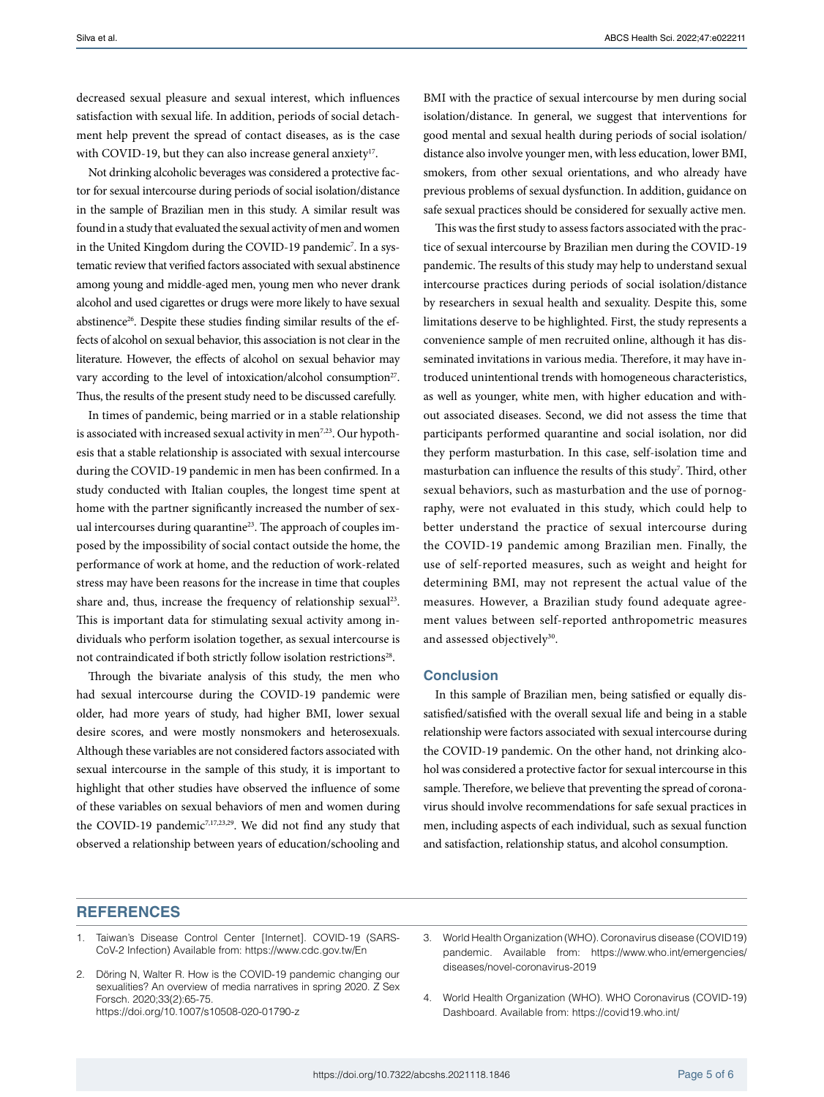decreased sexual pleasure and sexual interest, which influences satisfaction with sexual life. In addition, periods of social detachment help prevent the spread of contact diseases, as is the case with COVID-19, but they can also increase general anxiety<sup>17</sup>.

Not drinking alcoholic beverages was considered a protective factor for sexual intercourse during periods of social isolation/distance in the sample of Brazilian men in this study. A similar result was found in a study that evaluated the sexual activity of men and women in the United Kingdom during the COVID-19 pandemic<sup>7</sup>. In a systematic review that verified factors associated with sexual abstinence among young and middle-aged men, young men who never drank alcohol and used cigarettes or drugs were more likely to have sexual abstinence<sup>26</sup>. Despite these studies finding similar results of the effects of alcohol on sexual behavior, this association is not clear in the literature. However, the effects of alcohol on sexual behavior may vary according to the level of intoxication/alcohol consumption<sup>27</sup>. Thus, the results of the present study need to be discussed carefully.

In times of pandemic, being married or in a stable relationship is associated with increased sexual activity in men<sup>7,23</sup>. Our hypothesis that a stable relationship is associated with sexual intercourse during the COVID-19 pandemic in men has been confirmed. In a study conducted with Italian couples, the longest time spent at home with the partner significantly increased the number of sexual intercourses during quarantine<sup>23</sup>. The approach of couples imposed by the impossibility of social contact outside the home, the performance of work at home, and the reduction of work-related stress may have been reasons for the increase in time that couples share and, thus, increase the frequency of relationship sexual<sup>23</sup>. This is important data for stimulating sexual activity among individuals who perform isolation together, as sexual intercourse is not contraindicated if both strictly follow isolation restrictions<sup>28</sup>.

Through the bivariate analysis of this study, the men who had sexual intercourse during the COVID-19 pandemic were older, had more years of study, had higher BMI, lower sexual desire scores, and were mostly nonsmokers and heterosexuals. Although these variables are not considered factors associated with sexual intercourse in the sample of this study, it is important to highlight that other studies have observed the influence of some of these variables on sexual behaviors of men and women during the COVID-19 pandemic<sup>7,17,23,29</sup>. We did not find any study that observed a relationship between years of education/schooling and

BMI with the practice of sexual intercourse by men during social isolation/distance. In general, we suggest that interventions for good mental and sexual health during periods of social isolation/ distance also involve younger men, with less education, lower BMI, smokers, from other sexual orientations, and who already have previous problems of sexual dysfunction. In addition, guidance on safe sexual practices should be considered for sexually active men.

This was the first study to assess factors associated with the practice of sexual intercourse by Brazilian men during the COVID-19 pandemic. The results of this study may help to understand sexual intercourse practices during periods of social isolation/distance by researchers in sexual health and sexuality. Despite this, some limitations deserve to be highlighted. First, the study represents a convenience sample of men recruited online, although it has disseminated invitations in various media. Therefore, it may have introduced unintentional trends with homogeneous characteristics, as well as younger, white men, with higher education and without associated diseases. Second, we did not assess the time that participants performed quarantine and social isolation, nor did they perform masturbation. In this case, self-isolation time and masturbation can influence the results of this study<sup>7</sup>. Third, other sexual behaviors, such as masturbation and the use of pornography, were not evaluated in this study, which could help to better understand the practice of sexual intercourse during the COVID-19 pandemic among Brazilian men. Finally, the use of self-reported measures, such as weight and height for determining BMI, may not represent the actual value of the measures. However, a Brazilian study found adequate agreement values between self-reported anthropometric measures and assessed objectively<sup>30</sup>.

#### **Conclusion**

In this sample of Brazilian men, being satisfied or equally dissatisfied/satisfied with the overall sexual life and being in a stable relationship were factors associated with sexual intercourse during the COVID-19 pandemic. On the other hand, not drinking alcohol was considered a protective factor for sexual intercourse in this sample. Therefore, we believe that preventing the spread of coronavirus should involve recommendations for safe sexual practices in men, including aspects of each individual, such as sexual function and satisfaction, relationship status, and alcohol consumption.

## **REFERENCES**

- 1. Taiwan's Disease Control Center [Internet]. COVID-19 (SARS-CoV-2 Infection) Available from:<https://www.cdc.gov.tw/En>
- 2. Döring N, Walter R. How is the COVID-19 pandemic changing our sexualities? An overview of media narratives in spring 2020. Z Sex Forsch. 2020;33(2):65-75. <https://doi.org/10.1007/s10508-020-01790-z>
- 3. World Health Organization (WHO). Coronavirus disease (COVID19) pandemic. Available from: [https://www.who.int/emergencies/](https://www.who.int/emergencies/diseases/novel-coronavirus-2019) [diseases/novel-coronavirus-2019](https://www.who.int/emergencies/diseases/novel-coronavirus-2019)
- 4. World Health Organization (WHO). WHO Coronavirus (COVID-19) Dashboard. Available from: <https://covid19.who.int/>